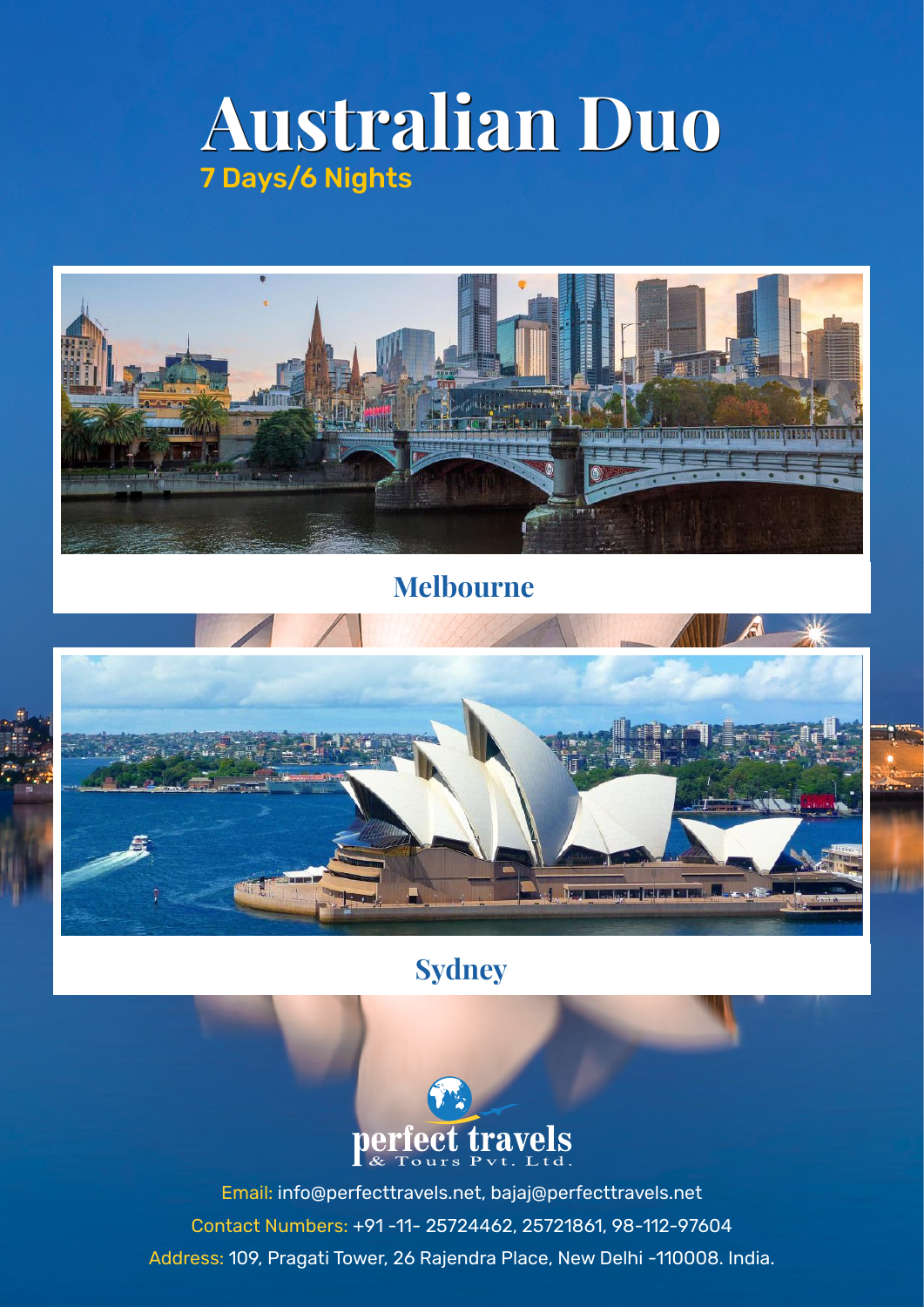# **Australian Duo Australian Duo** 7 Days/6 Nights



### **Melbourne**



## **Sydney**



Email: info@perfecttravels.net, bajaj@perfecttravels.net Contact Numbers: +91 -11- 25724462, 25721861, 98-112-97604 Address: 109, Pragati Tower, 26 Rajendra Place, New Delhi -110008. India.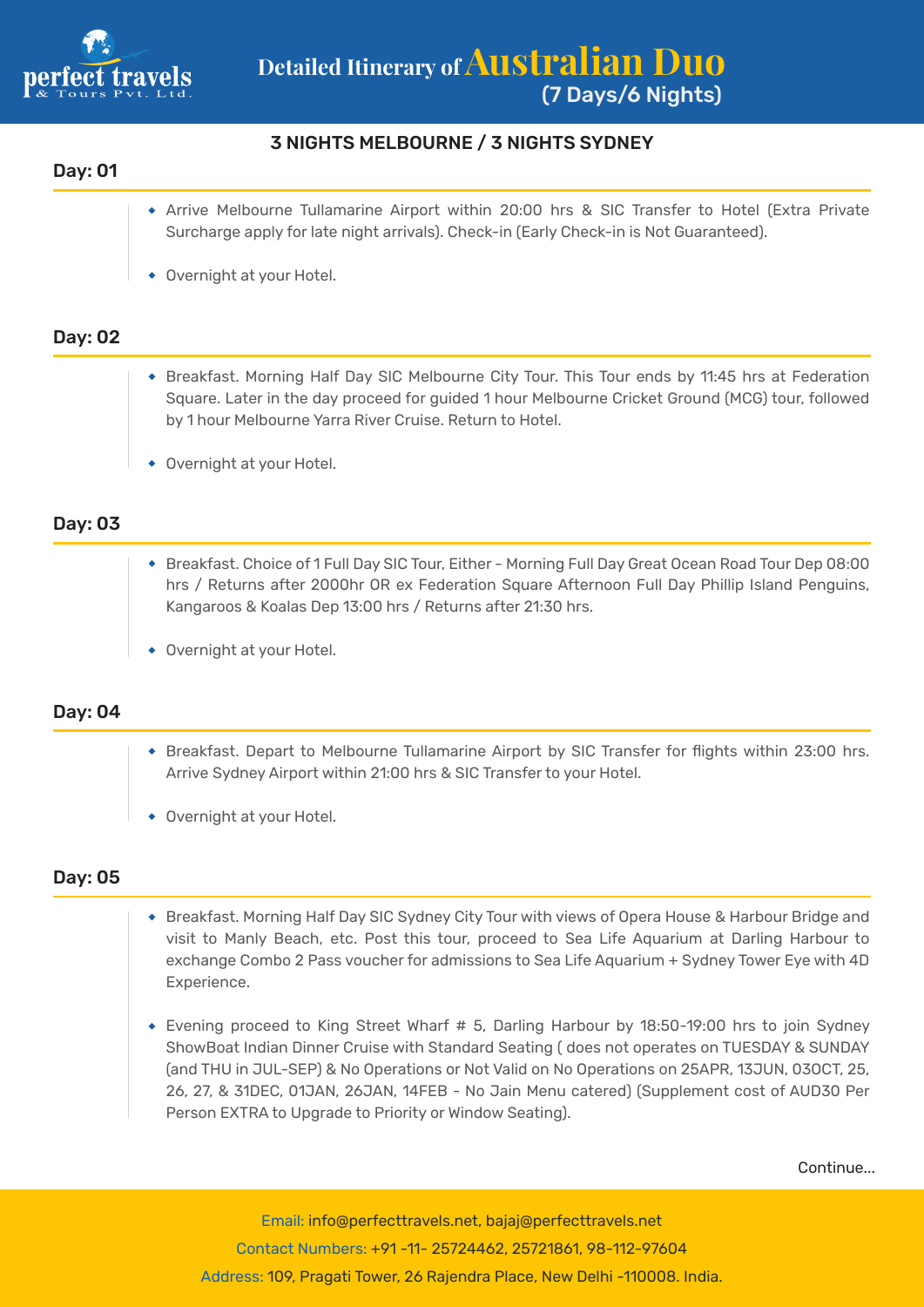

#### 3 NIGHTS MELBOURNE / 3 NIGHTS SYDNEY

#### Day: 01

- Arrive Melbourne Tullamarine Airport within 20:00 hrs & SIC Transfer to Hotel (Extra Private Surcharge apply for late night arrivals). Check-in (Early Check-in is Not Guaranteed).
- Overnight at your Hotel.

#### Day: 02

- Breakfast. Morning Half Day SIC Melbourne City Tour. This Tour ends by 11:45 hrs at Federation Square. Later in the day proceed for guided 1 hour Melbourne Cricket Ground (MCG) tour, followed by 1 hour Melbourne Yarra River Cruise. Return to Hotel.
- Overnight at your Hotel.

#### Day: 03

- Breakfast. Choice of 1 Full Day SIC Tour, Either Morning Full Day Great Ocean Road Tour Dep 08:00 hrs / Returns after 2000hr OR ex Federation Square Afternoon Full Day Phillip Island Penguins, Kangaroos & Koalas Dep 13:00 hrs / Returns after 21:30 hrs.
- Overnight at your Hotel.

#### Day: 04

- Breakfast. Depart to Melbourne Tullamarine Airport by SIC Transfer for flights within 23:00 hrs. Arrive Sydney Airport within 21:00 hrs & SIC Transfer to your Hotel.
- Overnight at your Hotel.

#### Day: 05

- Breakfast. Morning Half Day SIC Sydney City Tour with views of Opera House & Harbour Bridge and visit to Manly Beach, etc. Post this tour, proceed to Sea Life Aquarium at Darling Harbour to exchange Combo 2 Pass voucher for admissions to Sea Life Aquarium + Sydney Tower Eye with 4D Experience.
- Evening proceed to King Street Wharf # 5, Darling Harbour by 18:50-19:00 hrs to join Sydney ShowBoat Indian Dinner Cruise with Standard Seating ( does not operates on TUESDAY & SUNDAY (and THU in JUL-SEP) & No Operations or Not Valid on No Operations on 25APR, 13JUN, 03OCT, 25, 26, 27, & 31DEC, 01JAN, 26JAN, 14FEB - No Jain Menu catered) (Supplement cost of AUD30 Per Person EXTRA to Upgrade to Priority or Window Seating).

Continue...